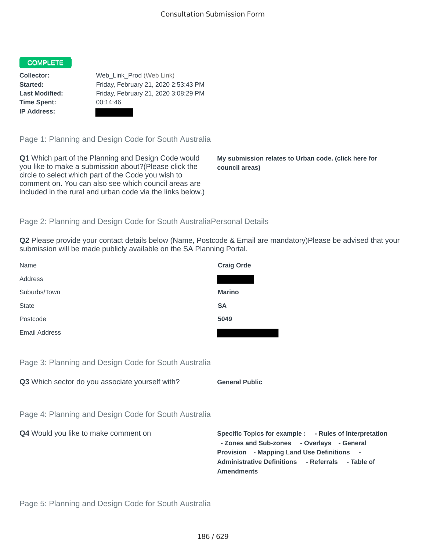#### **COMPLETE**

**Time Spent:** 00:14:46 **IP Address:**

**Collector:** Web\_Link\_Prod (Web Link) **Started:** Friday, February 21, 2020 2:53:43 PM **Last Modified:** Friday, February 21, 2020 3:08:29 PM

Page 1: Planning and Design Code for South Australia

**Q1** Which part of the Planning and Design Code would you like to make a submission about?(Please click the circle to select which part of the Code you wish to comment on. You can also see which council areas are included in the rural and urban code via the links below.)

**My submission relates to Urban code. (click here for council areas)**

## Page 2: Planning and Design Code for South AustraliaPersonal Details

**Q2** Please provide your contact details below (Name, Postcode & Email are mandatory)Please be advised that your submission will be made publicly available on the SA Planning Portal.

| Name                 | <b>Craig Orde</b> |
|----------------------|-------------------|
| Address              |                   |
| Suburbs/Town         | <b>Marino</b>     |
| <b>State</b>         | <b>SA</b>         |
| Postcode             | 5049              |
| <b>Email Address</b> |                   |

Page 3: Planning and Design Code for South Australia

**Q3** Which sector do you associate yourself with? **General Public** 

Page 4: Planning and Design Code for South Australia

**Q4** Would you like to make comment on **Specific Topics for example : - Rules of Interpretation - Zones and Sub-zones - Overlays - General Provision - Mapping Land Use Definitions - Administrative Definitions - Referrals - Table of Amendments**

Page 5: Planning and Design Code for South Australia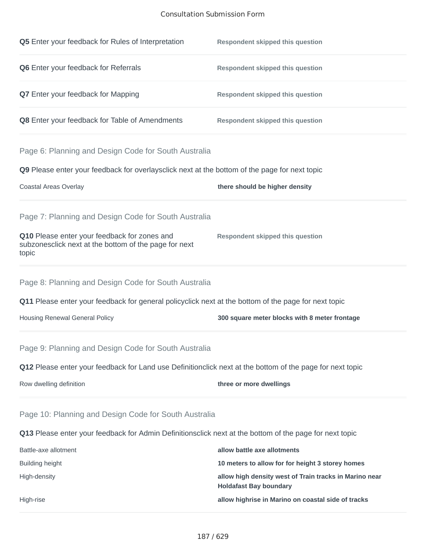## Consultation Submission Form

| Q5 Enter your feedback for Rules of Interpretation                                                             | <b>Respondent skipped this question</b>                                                 |
|----------------------------------------------------------------------------------------------------------------|-----------------------------------------------------------------------------------------|
| Q6 Enter your feedback for Referrals                                                                           | <b>Respondent skipped this question</b>                                                 |
| <b>Q7</b> Enter your feedback for Mapping                                                                      | <b>Respondent skipped this question</b>                                                 |
| Q8 Enter your feedback for Table of Amendments                                                                 | <b>Respondent skipped this question</b>                                                 |
| Page 6: Planning and Design Code for South Australia                                                           |                                                                                         |
| <b>Q9</b> Please enter your feedback for overlaysclick next at the bottom of the page for next topic           |                                                                                         |
| Coastal Areas Overlay                                                                                          | there should be higher density                                                          |
| Page 7: Planning and Design Code for South Australia                                                           |                                                                                         |
| Q10 Please enter your feedback for zones and<br>subzonesclick next at the bottom of the page for next<br>topic | <b>Respondent skipped this question</b>                                                 |
| Page 8: Planning and Design Code for South Australia                                                           |                                                                                         |
| <b>Q11</b> Please enter your feedback for general policyclick next at the bottom of the page for next topic    |                                                                                         |
| <b>Housing Renewal General Policy</b>                                                                          | 300 square meter blocks with 8 meter frontage                                           |
| Page 9: Planning and Design Code for South Australia                                                           |                                                                                         |
| Q12 Please enter your feedback for Land use Definitionclick next at the bottom of the page for next topic      |                                                                                         |
| Row dwelling definition                                                                                        | three or more dwellings                                                                 |
| Page 10: Planning and Design Code for South Australia                                                          |                                                                                         |
| Q13 Please enter your feedback for Admin Definitionsclick next at the bottom of the page for next topic        |                                                                                         |
| Battle-axe allotment                                                                                           | allow battle axe allotments                                                             |
| <b>Building height</b>                                                                                         | 10 meters to allow for for height 3 storey homes                                        |
| High-density                                                                                                   | allow high density west of Train tracks in Marino near<br><b>Holdafast Bay boundary</b> |
| High-rise                                                                                                      | allow highrise in Marino on coastal side of tracks                                      |